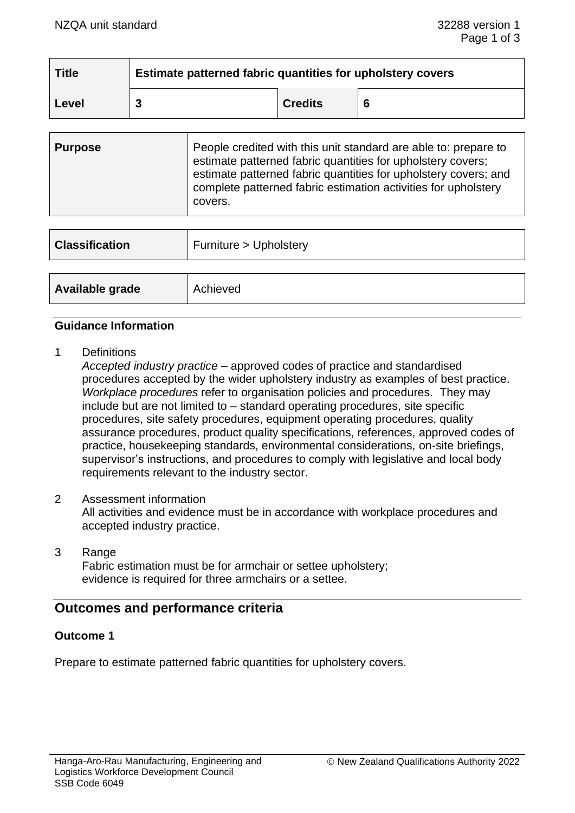| <b>Title</b> | Estimate patterned fabric quantities for upholstery covers |                |   |
|--------------|------------------------------------------------------------|----------------|---|
| Level        |                                                            | <b>Credits</b> | 6 |

| People credited with this unit standard are able to: prepare to<br><b>Purpose</b><br>estimate patterned fabric quantities for upholstery covers;<br>estimate patterned fabric quantities for upholstery covers; and<br>complete patterned fabric estimation activities for upholstery<br>covers. |  |
|--------------------------------------------------------------------------------------------------------------------------------------------------------------------------------------------------------------------------------------------------------------------------------------------------|--|
|--------------------------------------------------------------------------------------------------------------------------------------------------------------------------------------------------------------------------------------------------------------------------------------------------|--|

| <b>Classification</b> | Furniture > Upholstery |  |
|-----------------------|------------------------|--|
|                       |                        |  |
| Available grade       | Achieved               |  |

### **Guidance Information**

1 Definitions

*Accepted industry practice* – approved codes of practice and standardised procedures accepted by the wider upholstery industry as examples of best practice. *Workplace procedures* refer to organisation policies and procedures. They may include but are not limited to – standard operating procedures, site specific procedures, site safety procedures, equipment operating procedures, quality assurance procedures, product quality specifications, references, approved codes of practice, housekeeping standards, environmental considerations, on-site briefings, supervisor's instructions, and procedures to comply with legislative and local body requirements relevant to the industry sector.

- 2 Assessment information All activities and evidence must be in accordance with workplace procedures and accepted industry practice.
- 3 Range Fabric estimation must be for armchair or settee upholstery; evidence is required for three armchairs or a settee.

## **Outcomes and performance criteria**

## **Outcome 1**

Prepare to estimate patterned fabric quantities for upholstery covers.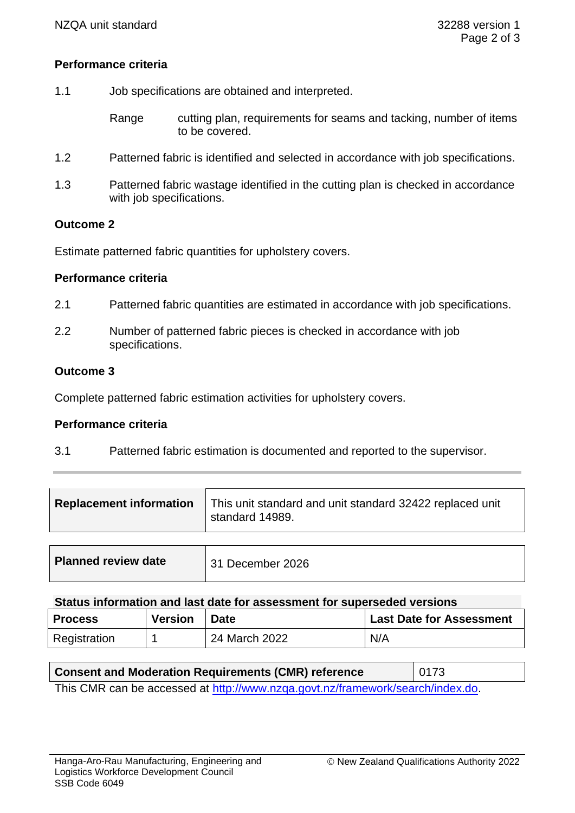## **Performance criteria**

- 1.1 Job specifications are obtained and interpreted.
	- Range cutting plan, requirements for seams and tacking, number of items to be covered.
- 1.2 Patterned fabric is identified and selected in accordance with job specifications.
- 1.3 Patterned fabric wastage identified in the cutting plan is checked in accordance with job specifications.

## **Outcome 2**

Estimate patterned fabric quantities for upholstery covers.

### **Performance criteria**

- 2.1 Patterned fabric quantities are estimated in accordance with job specifications.
- 2.2 Number of patterned fabric pieces is checked in accordance with job specifications.

## **Outcome 3**

Complete patterned fabric estimation activities for upholstery covers.

#### **Performance criteria**

3.1 Patterned fabric estimation is documented and reported to the supervisor.

| <b>Replacement information</b> | This unit standard and unit standard 32422 replaced unit<br>standard 14989. |
|--------------------------------|-----------------------------------------------------------------------------|
|                                |                                                                             |
|                                |                                                                             |

| $\Omega$ to the distance of an angle bart data from a secondary than a consequent of constants |  |
|------------------------------------------------------------------------------------------------|--|

| Status information and last date for assessment for superseded versions |                |               |                                 |  |
|-------------------------------------------------------------------------|----------------|---------------|---------------------------------|--|
| <b>Process</b>                                                          | <b>Version</b> | <b>Date</b>   | <b>Last Date for Assessment</b> |  |
| Registration                                                            |                | 24 March 2022 | N/A                             |  |

## **Consent and Moderation Requirements (CMR) reference** | 0173

This CMR can be accessed at [http://www.nzqa.govt.nz/framework/search/index.do.](http://www.nzqa.govt.nz/framework/search/index.do)

**Planned review date** | 31 December 2026